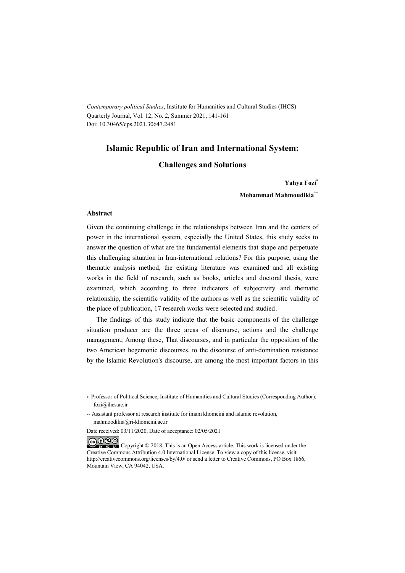*Contemporary political Studies*, Institute for Humanities and Cultural Studies (IHCS) Quarterly Journal, Vol. 12, No. 2, Summer 2021, 141-161 Doi: 10.30465/cps.2021.30647.2481

#### **Islamic Republic of Iran and International System:**

#### **Challenges and Solutions**

#### **Yahya Fozi\***

**Mohammad Mahmoudikia\*\***

#### **Abstract**

Given the continuing challenge in the relationships between Iran and the centers of power in the international system, especially the United States, this study seeks to answer the question of what are the fundamental elements that shape and perpetuate this challenging situation in Iran-international relations? For this purpose, using the thematic analysis method, the existing literature was examined and all existing works in the field of research, such as books, articles and doctoral thesis, were examined, which according to three indicators of subjectivity and thematic relationship, the scientific validity of the authors as well as the scientific validity of the place of publication, 17 research works were selected and studied.

The findings of this study indicate that the basic components of the challenge situation producer are the three areas of discourse, actions and the challenge management; Among these, That discourses, and in particular the opposition of the two American hegemonic discourses, to the discourse of anti-domination resistance by the Islamic Revolution's discourse, are among the most important factors in this

Date received: 03/11/2020, Date of acceptance: 02/05/2021

COOO Copyright © 2018, This is an Open Access article. This work is licensed under the Creative Commons Attribution 4.0 International License. To view a copy of this license, visit http://creativecommons.org/licenses/by/4.0/ or send a letter to Creative Commons, PO Box 1866, Mountain View, CA 94042, USA.

<sup>\*</sup> Professor of Political Science, Institute of Humanities and Cultural Studies (Corresponding Author), fozi@ihcs.ac.ir

<sup>\*\*</sup> Assistant professor at research institute for imam khomeini and islamic revolution, mahmoodikia@ri-khomeini.ac.ir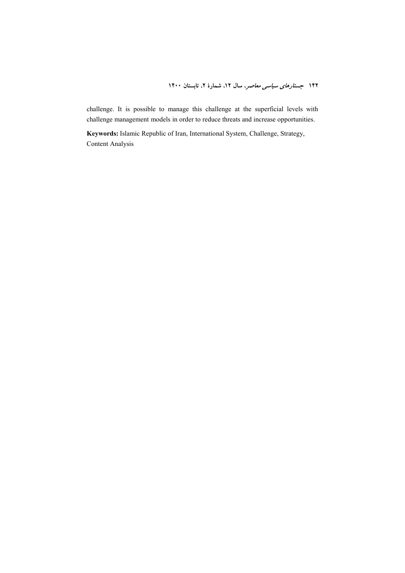challenge. It is possible to manage this challenge at the superficial levels with challenge management models in order to reduce threats and increase opportunities.

**Keywords:** Islamic Republic of Iran, International System, Challenge, Strategy, Content Analysis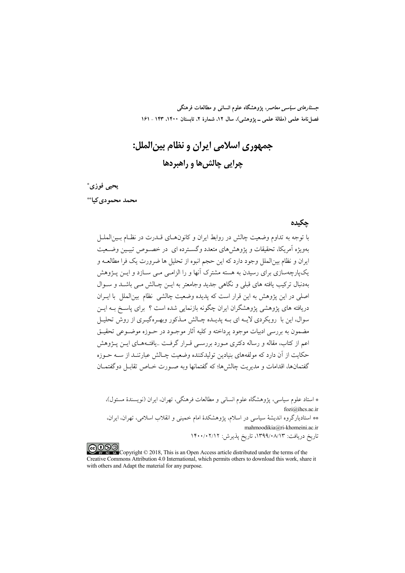*جستارهای سیاسی معاصر*، پژوهشگاه علوم انسانی و مطالعات فرهنگی فصل نامهٔ علمی (مقالهٔ علمی ــ یژوهشی)، سال ۱۲، شمارهٔ ۲، تابستان ۱۴۰۰، ۱۴۳ ـ ۱۶۱

جمهوري اسلامي ايران و نظام بين|لملل: چرايي چالش ها و راهبردها

يحيى فوزى\* محمد محمو دی کیا\*\*

#### حكىدە

با توجه به تداوم وضعیت چالش در روابط ایران و کانون هـای قــدرت در نظــام بــین|لملــل بهویژه آمریکا، تحقیقات و یژوهش های متعدد وگسـترده ای در خصـوص تبیـین وضـعیت ايران و نظام بين|لملل وجود دارد كه اين حجم انبوه از تحليل ها ضرورت يك فرا مطالعــه و یکپارچهسازی برای رسیدن به هسته مشترک آنها و را الزامبے مبے سیازد و این پیژوهش بەدنبال ترکیب یافته های قبلی و نگاهی جدید وجامعتر به ایــن چــالش مــی باشــد و ســوال اصلي در اين يژوهش به اين قرار است كه يديده وضعيت چالشي نظام بين(لملل با ايبران دریافته های پژوهشی پژوهشگران ایران چگونه بازنمایی شده است ؟ برای پاسـخ بــه ایــن سوال، این با رویکردی لایـه ای بـه پدیـده چـالش مـذکور وبهـرهگیـری از روش تحلیـل مضمون به بررسی ادبیات موجود یرداخته و کلیه آثار موجـود در حـوزه موضـوعی تحقیـق اعم از کتاب، مقاله و رساله دکتری مـورد بررســی قـرار گرفــت ..یافتــههــای ایــن پــژوهش حکایت از آن دارد که مولفههای بنیادین تولیدکننده وضعیت چـالش عبارتنـد از ســه حــوزه گفتمانها، اقدامات و مدیریت چالش ها؛ که گفتمانها وبه صبورت خیاص تقابیل دو گفتمیان

\* استاد علوم سياسي، پژوهشگاه علوم انساني و مطالعات فرهنگي، تهران، ايران (نويسندهٔ مسئول)، fozi@ihcs.ac.ir \*\* استادیارگروه اندیشهٔ سیاسی در اسلام، پژوهشکدهٔ امام خمینی و انقلاب اسلامی، تهران، ایران، mahmoodikia@ri-khomeini.ac.ir تاریخ دریافت: ۱۳۹۹/۰۸/۱۳، تاریخ پذیرش: ۱۴۰۰/۰۲/۱۲

COOD experience Copyright © 2018, This is an Open Access article distributed under the terms of the Creative Commons Attribution 4.0 International, which permits others to download this work, share it with others and Adapt the material for any purpose.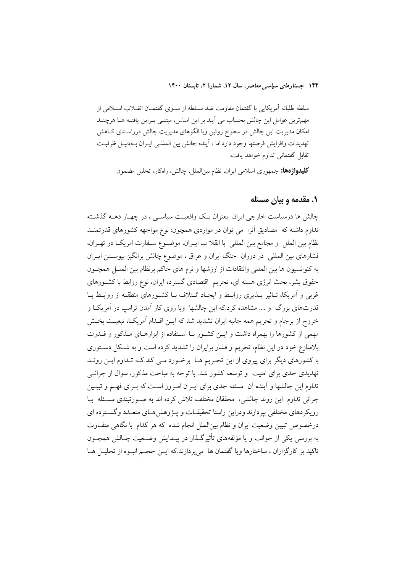سلطه طلبانه آمريكايي با گفتمان مقاومت ضد سـلطه از سـوى گفتمــان انقــلاب اســلامي از مهمترین عوامل این چالش بحساب می آیند بر این اساس، مبتنـی بـراین یافتـه هـا هرچنــد امکان مدیریت این چالش در سطوح روئین وبا الگوهای مدیریت چالش درراسـتای کـاهش تهديدات وافزايش فرصتها وجود دارد.اما ، آينده چالش بين المللـي ايـران بــهدليـل ظرفيـت تقابل گفتمانی تداوم خواهد یافت.

**كليدواژدها:** جمهوري اسلامي ايران، نظام بين|لملل، چالش، راهكار، تحليل مضمون

### ۱. مقدمه و بیان مسئله

چالش ها درسیاست خارجی ایران بعنوان یـک واقعیـت سیاســی ، در چهــار دهــه گذشــته تداوم داشته که مصادیق اَنرا ً می توان در مواردی همچون: نوع مواجهه کشورهای قدرتمنـد نظام بين الملل و مجامع بين المللي با انقلا ب ايـران، موضـوع سـفارت امريكـا در تهـران، فشارهای بین المللی ً در دوران ً جنگ ایران و عراق ، موضوع چالش برانگیز پیوسـتن ایــران به كنوانسيون ها بين المللي وانتقادات از ارزشها و نرم هاى حاكم برنظام بين الملـل همچـون حقوق بشر، بحث انرژی هسته ای، تحریم اقتصادی گسترده ایران، نوع روابط با کشـورهای غربی و اَمریکا، تـاثیر پــذیری روابــط و ایجــاد ائــتلاف بــا کشــورهای منطقــه از روابــط بــا قدرتهای بزرگ و …. مشاهده کرد.که این چالشها وبا روی کار آمدن ترامپ در آمریکـا و خروج از برجام و تحریم همه جانبه ایران تشدید شد که ایــن اقــدام آمریکــا، تبعیــت بخــش مهمی از کشورها را بهمراه داشت و ایـن کشـور بـا اسـتفاده از ابزارهـای مـذکور و قــدرت بلامنازع خود در این نظام، تحریم و فشار برایران را تشدید کرده است و به شکل دستوری با کشورهای دیگر برای پیروی از این تحریم هـا برخـورد مـی کند.کـه تـداوم ایـن رونـد تهدیدی جدی برای امنیت ً و توسعه کشور شد. با توجه به مباحث مذکور، سوال از چرائـی تداوم این چالشها و آینده آن مسئله جدی برای ایـران امـروز اسـت.که بـرای فهـم و تبیـین چرائی تداوم این روند چالشی، محققان مختلف تلاش کرده اند به صـورتبندی مسـئله بـا رویکردهای مختلفی بیردازند.ودراین راستا تحقیقـات و پــژوهش هـای متعـدد وگســترده ای درخصوص تبیین وضعیت ایران و نظام بین|لملل انجام شده که هر کدام با نگاهی متفـاوت به بررسی یکی از جوانب و یا مؤلفههای تأثیرگذار در پیـدایش وضـعیت چـالش همچــون تاکید بر کارگزاران ، ساختارها ویا گفتمان ها ً می پردازند.که ایــن حجــم انبــوه از تحلیــل هــا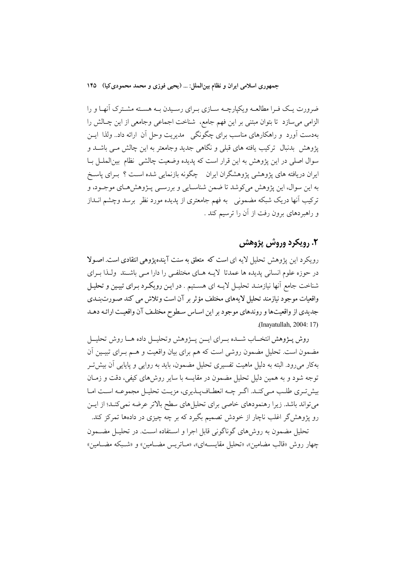جمهوري اسلامي ايران و نظام بين الملل: … (يحيى فوزي و محمد محمودي كيا) ١۴۵

ضرورت یـک فـرا مطالعـه ویکیارچـه سـازی بـرای رسـیدن بـه هسـته مشـترک آنهـا و را الزامي مي سازد تا بتوان مبتني بر اين فهم جامع، شناخت اجماعي وجامعي از اين چـالش را بهدست آورد و راهکارهای مناسب برای چگونگی ِ مدیریت وحل آن ارائه داد.. ولذا ایــن یژوهش بدنبال ترکیب یافته های قبلی و نگاهی جدید وجامعتر به این چالش مـی باشــد و سوال اصلی در این پژوهش به این قرار است که پدیده وضعیت چالشی نظام بینالملـل بـا ایران دریافته های پژوهشی پژوهشگران ایران چگونه بازنمایی شده است ؟ بـرای پاسـخ به اين سوال، اين پژوهش مي كوشد تا ضمن شناسـايي و بررسـي پــژوهشهـاي موجـود، و ترکیب آنها دریک شبکه مضمونی ً به فهم جامعتری از یدیده مورد نظر ً برسد وچشم انــداز و راهبردهای برون رفت از آن را ترسیم کند .

# ٢. رويکرد وروش پژوهش

رو یکرد این پژوهش تحلیل لایه ای است که متعلق به سنت آینده پژوهی انتقادی است. اصبولا در حوزه علوم انسانی پدیده ها عمدتا لایــه هــای مختلفــی را دارا مــی باشــند ولــذا بــرای شناخت جامع آنها نیازمنـد تحلیــل لایــه ای هســتیم . در ایـن رویکـرد بـرای تبیـین و تحلیـل واقعیات موجود نیازمند تحلیل لایههای مختلف مؤثر بر آن است وتلاش می کند صـورت بنـدی جدیدی از واقعیتها و روندهای موجود بر این اساس سطوح مختلـف آن واقعیـت ارائـه دهـد (Inayatullah, 2004: 17).

روش پــژوهش انتخــاب شــده بــراي ايــن پــژوهش وتحليــل داده هــا روش تحليــل مضمون است. تحلیل مضمون روشی است که هم برای بیان واقعیت و هــم بــرای تبیــین اَن بهکار می رود. البته به دلیل ماهیت تفسیری تحلیل مضمون، باید به روایی و پایایی آن بیش تـر توجه شود و به همین دلیل تحلیل مضمون در مقایسه با سایر روش۵ای کیفی، دقت و زمـان بیش تری طلب مے کند. اگر چه انعطاف پذیری، مزیت تحلیل مجموعـه اسـت امـا می تواند باشد. زیرا رهنمودهای خاصی برای تحلیل های سطح بالاتر عرضه نمی کنـد؛ از ایــن رو پژوهشگر اغلب ناچار از خودش تصمیم بگیرد که بر چه چیزی در دادهها تمرکز کند. تحلیل مضمون به روشهای گوناگونی قابل اجرا و استفاده است. در تحلیـل مضــمون چهار روش «قالب مضامین»، «تحلیل مقایسهای»، «میاتریس مضیامین» و «شبیکه مضیامین»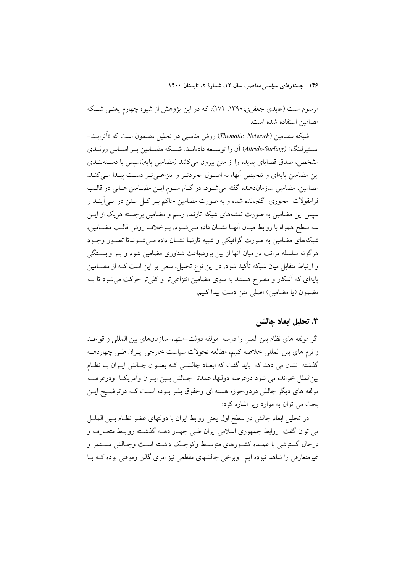مرسوم است (عابدی جعفری،۱۳۹۰: ۱۷۲)، که در این پژوهش از شیوه چهارم یعنبی شـبکه مضامین استفاده شده است.

شبکه مضامین (Thematic Network) روش مناسبی در تحلیل مضمون است که «اَترایــد– استیرلینگ» (Attride-Stirling) آن را توسعه دادهانــد. شــبکه مضــامین بــر اســاس رونــدی مشخص، صدق قضایای پدیده را از متن بیرون میکشد (مضامین پایه)؛سپس با دستهبنـدی این مضامین پایهای و تلخیص آنها، به اصـول مجردتـر و انتزاعـی تـر دسـت پیـدا مـی کنـد. مضامین، مضامین سازماندهنده گفته می شـود. در گــام سـوم ایــن مضــامین عــالی در قالــب فرامقولات ًمحوری گنجانده شده و به صورت مضامین حاکم بـر کـل مـتن در مـی]ینــد و سیس این مضامین به صورت تقشههای شبکه تارنما، رسم و مضامین برجسته هریک از ایــن سه سطح همراه با روابط میـان آنهـا نشــان داده مــی شــود. بــر خلاف روش قالــب مضــامین. شبکههای مضامین به صورت گرافیکی و شبیه تارنما نشـان داده مـی شـوندتا تصـور وجـود هرگونه سلسله مراتب در میان آنها از بین برود،باعث شناوری مضامین شود و بــر وابســتگی و ارتباط متقابل میان شبکه تأکید شود. در این نوع تحلیل، سعی بر این است کـه از مضــامین پایهای که آشکار و مصرح هستند به سوی مضامین انتزاعیتر و کلیتر حرکت میشود تا بــه مضمون (یا مضامین) اصلی متن دست پیدا کنیم.

### ٣. تحليل ابعاد ڃالش

اگر مولَّفه های نظام بین الملل را درسه ً مولَّفه دولت–ملتها،–سازمانهای بین المللی و قواعـد و نرم های بین المللی خلاصه کنیم، مطالعه تحولات سیاست خارجی ایـران طـی چهاردهــه گذشته نشان می دهد که باید گفت که ابعـاد چالشـی کـه بعنـوان چـالش ایـران بـا نظـام بين|لملل خوانده مي شود درعرصه دولتها، عمدتا چـالش بـين ايـران وأمريكـا ً ودرعرصـه مولفه های دیگر چالش دردو حوزه هسته ای وحقوق بشر بـوده اسـت کـه درتوضـيح ايــن بحث می توان به موارد زیر اشاره کرد:

در تحلیل ابعاد چالش در سطح اول یعنی روابط ایران با دولتهای عضو نظـام بــین الملــل می توان گفت روابط جمهوری اسلامی ایران طے چهـار دهــه گذشــته روابـط متعــارف و درحال گسترشی با عمـده کشـورهای متوسـط وکوچـک داشـته اسـت وچـالش مسـتمر و غیر متعارفی را شاهد نبوده ایم. وبرخی چالشهای مقطعی نیز امری گذرا وموقتی بوده کـه بــا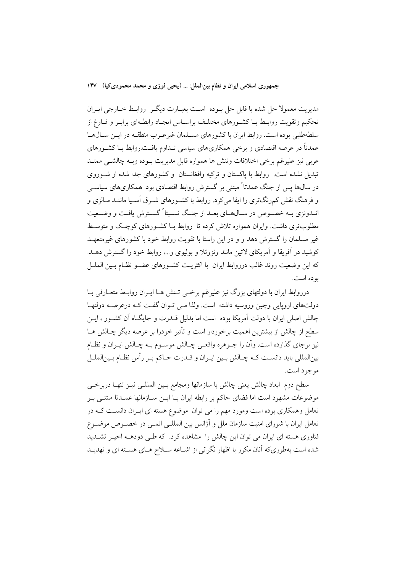جمهوري اسلامي ايران و نظام بين|لملل: … (يحيى فوزي و محمد محمودي كيا) ١۴٧

مديريت معمولا حل شده يا قابل حل بــوده اســت بعبــارت ديگــر روابــط خــارجي ايــران تحکیم وتقویت روابـط بــا کشــورهای مختلـف براســاس ایجــاد رابطــهای برابـر و فــارغ از سلطهطلبی بوده است. روابط ایران با کشورهای مسـلمان غیرعـرب منطقـه در ایــن سـالهـا عمدتاً در عرصه اقتصادی و برخی همکاریهای سیاسی تـداوم یافـت.روابط بـا کشـورهای عربي نيز عليرغم برخي اختلافات وتنش ها همواره قابل مديريت بـوده وبــه چالشــي ممتــد تبدیل نشده است. روابط با پاکستان و ترکیه وافغانستان و کشورهای جدا شده از شـوروی در سال@ا پس از جنگ عمدتاً ً مبتنی بر گسترش روابط اقتصادی بود. همکاریهای سیاســی و فرهنگ نقش کمرنگتری را ایفا میکرد. روابط با کشـورهای شـرق آسـیا ماننـد مـالزی و انـدونزي بــه خصـوص در سـالهـاي بعــد از جنـگ نسـبتاً گسـترش يافـت و وضــعيت مطلوبتری داشت. وایران همواره تلاش کرده تا روابط بـا کشـورهای کوچـک و متوسـط غیر مسلمان را گسترش دهد و و در این راستا با تقویت روابط خود با کشورهای غیرمتعهـد کوشید در اَفریقا و اَمریکای لاتین مانند ونزوئلا و بولیوی و…، روابط خود را گسترش دهـد. كه اين وضعيت روند غالب درروابط ايران با اكثريت كشـورهاي عضـو نظـام بـين الملــل بو ده است.

درروابط ایران با دولتهای بزرگ نیز علیرغم برخمی تـنش هـا ایــران روابـط متعــارفی بــا دولتهای اروپایی وچین وروسیه داشته است. ولذا مـی تـوان گفـت کـه درعرصـه دولتهـا .<br>چالش اصلی ایران با دولت آمریکا بوده است اما بدلیل قــدرت و جایگــاه آن کشــور ، ایــن سطح از چالش از بیشترین اهمیت برخوردار است و تأثیر خودرا بر عرصه دیگر چـالش هــا نیز برجای گذارده است. وأن را جــوهره واقعــی چــالش موســوم بــه چــالش ایــران و نظــام بینالمللی باید دانسـت کــه چــالش بــین ایــران و قــدرت حــاکم بــر رأس نظــام بــینالملــل موجود است.

سطح دوم ابعاد چالش يعني چالش با سازمانها ومجامع بـين المللـي نيـز تنهـا دربرخـي موضوعات مشهود است اما فضای حاکم بر رابطه ایران بـا ایــن ســازمانها عمــدتا مبتنــی بــر تعامل وهمکاری بوده است ومورد مهم را می توان ً موضوع هسته ای ایـران دانسـت کـه در تعامل ایران با شورای امنیت سازمان ملل و آژانس بین المللـی اتمـی در خصـوص موضـوع فناوری هسته ای ایران می توان این چالش را مشاهده کرد. که طـی دودهــه اخیـر تشــدید شده است بهطوریکه آنان مکرر با اظهار نگرانی از اشـاعه سـلاح هـای هسـته ای و تهدیـد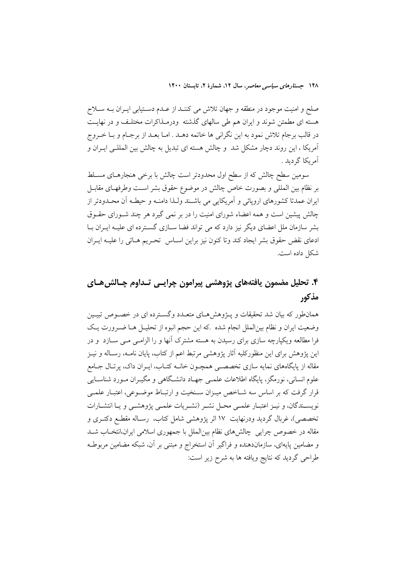صلح و امنیت موجود در منطقه و جهان تلاش می کننــد از عــدم دســتیابی ایــران بــه ســلاح هسته ای مطمئن شوند و ایران هم طی سالهای گذشته ودرمـذاکرات مختلـف و در نهایـت در قالب برجام تلاش نمود به این نگرانی ها خاتمه دهــد . امــا بعــد از برجــام و بــا خــروج آمریکا ، این روند دچار مشکل شد ًو چالش هسته ای تبدیل به چالش بین المللـی ایــران و آمريكا گرديد .

سومین سطح چالش که از سطح اول محدودتر است چالش با برخی هنجارهـای مسـلط بر نظام بين المللي و بصورت خاص چالش در موضوع حقوق بشر است وطرفهـاى مقابـل ایران عمدتا کشورهای اروپائی و آمریکایی می باشند ولـذا دامنـه و حیطـه آن محـدودتر از چالش پیشین است و همه اعضاء شورای امنیت را در بر نمی گیرد هر چند شـورای حقـوق یشر سازمان ملل اعضای دیگر نیز دارد که می تواند فضا سیازی گسترده ای علیـه ایـران یـا ادعاى نقض حقوق بشر ايجاد كند وتاكنون نيز براين اسـاس تحـريم هـائي را عليـه ايـران شكل داده است.

# ۴. تحليل مضمون يافتههاي يژوهشي ييرامون چرايسي تـداوم چـالش6هـاي مذكور

همانطور که بیان شد تحقیقات و پـژوهشهـای متعـدد وگسـترده ای در خصـوص تبیـین وضعیت ایران و نظام بین|لملل انجام شده .که این حجم انبوه از تحلیـل هــا ضــرورت یــک فرا مطالعه ویکپارچه سازی برای رسیدن به هسته مشترک آنها و را الزامـی مـی ســازد ً و در این پژوهش برای این منظورکلیه آثار پژوهشی مرتبط اعم از کتاب، پایان نامــه، رسـاله و نیــز مقاله از پایگاههای نمایه سازی تخصصی همچـون خانــه کتــاب، ایــران داک، پرتـال جــامع علوم انسانی، نورمگز، پایگاه اطلاعات علمـی جهـاد دانشـگاهی و مگیـران مـورد شناســایی قرار گرفت که بر اساس سه شـاخص میـزان سـنخیت و ارتبـاط موضـوعی، اعتبـار علمـی نويسـندگان، و نيـز اعتبـار علمـي محـل نشـر (نشـريات علمـي پژوهشـي و يـا انتشـارات تخصصی)، غربال گردید ودرنهایت ۱۷ اثر پژوهشی شامل کتاب، رسـاله مقطـع دکتـری و مقاله در خصوص چرایی چالشهای نظام بینالملل با جمهوری اسلامی ایران،انتخـاب شــد و مضامین پایهای، سازماندهنده و فراگیر آن استخراج و مبتنی بر آن، شبکه مضامین مربوطـه طراحی گردید که نتایج ویافته ها به شرح زیر است: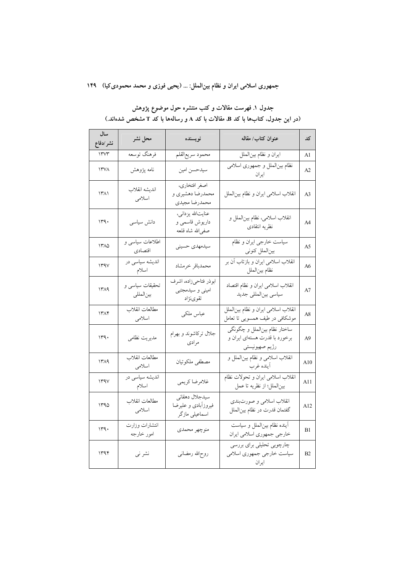### جمهوری اسلامی ایران و نظام بینالملل: ... (یحیی فوزی و محمد محمودی کیا) ۱۴۹

| سال<br>نشر ⁄دفاع    | محل نشر                      | نويسنده                                                 | عنوان كتاب/ مقاله                                                                | کد             |
|---------------------|------------------------------|---------------------------------------------------------|----------------------------------------------------------------------------------|----------------|
| 11.44               | فرهنگ توسعه                  | محمود سريعالقلم                                         | ايران و نظام بينالملل                                                            | Al             |
| ۱۳۷۸                | نامه پژوهش                   | سيدحسن امين                                             | نظام بینالملل و جمهوری اسلامی<br>ايران                                           | A <sub>2</sub> |
| $\Upsilon(\lambda)$ | انديشه انقلاب<br>اسلامى      | اصغر افتخاري،<br>محمدرضا دهشیری و<br>محمدرضا مجيدى      | انقلاب اسلامی ایران و نظام بینالملل                                              | A <sub>3</sub> |
| ۱۳۹۰                | دانش سیاسی                   | عنايت\لله يزداني،<br>داریوش قاسمی و<br>صفىالله شاه قلعه | انقلاب اسلامی، نظام بینالملل و<br>نظريه انتقادى                                  | A <sub>4</sub> |
| ۱۳۸۵                | اطلاعات سیاسی و<br>اقتصادي   | سیدمهدی حسینی                                           | سیاست خارجی ایران و نظام<br>بينالملل كنوني                                       | A5             |
| 144V                | اندیشه سیاسی در<br>اسلام     | محمدباقر خرمشاد                                         | انقلاب اسلامی ایران و بازتاب آن بر<br>نظام بينالملل                              | A6             |
| 1419                | تحقیقات سیاسی و<br>بينالمللي | ابوذر فتاحيزاده، اشرف<br>امینی و سیدمجتبی<br>تقوىنژاد   | انقلاب اسلامی ایران و نظام اقتصاد<br>سياسي بينالمللي جديد                        | A7             |
| ۱۳۸۴                | مطالعات انقلاب<br>اسلامى     | عباس ملكى                                               | انقلاب اسلامي ايران و نظام بينالملل<br>موشکافی در طیف همسویی تا تعامل            | A8             |
| ۱۳۹۰                | مديريت نظامي                 | جلال تركاشوند و بهرام<br>مرادى                          | ساختار نظام بين لملل و چگونگي<br>برخورد با قدرت هستهاي ايران و<br>رژیم صهیونیستی | A9             |
| ۱۳۸۹                | مطالعات انقلاب<br>اسلامى     | مصطفى ملكوتيان                                          | انقلاب اسلامي و نظام بين الملل و<br>أينده غرب                                    | A10            |
| 144V                | اندیشه سیاسی در<br>اسلام     | غلامرضا كريمي                                           | انقلاب اسلامی ایران و تحولات نظام<br>بينالملل؛ از نظريه تا عمل                   | A11            |
| ۱۳۹۵                | مطالعات انقلاب<br>اسلامى     | سيدجلال دهقاني<br>فيروزآبادى و عليرضا<br>اسماعیلی مازگر | انقلاب اسلامي و صورتبندي<br>گفتمان قدرت در نظام بینالملل                         | A12            |
| 149.                | انتشارات وزارت<br>امور خارجه | منوچهر محمدي                                            | آينده نظام بين الملل و سياست<br>خارجي جمهوري اسلامي ايران                        | B1             |
| ۱۳۹۴                | نشر ني                       | روح\لله رمضانى                                          | چارچوبی تحلیلی برای بررسی<br>سیاست خارجی جمهوری اسلامی<br>ايران                  | B <sub>2</sub> |

## جدول ۱ فهرست مقالات و کتب منتشره حول موضوع پژوهش (در این جدول، کتابها با کد B، مقالات با کد A و رسالهها با کد T مشخص شدهاند.)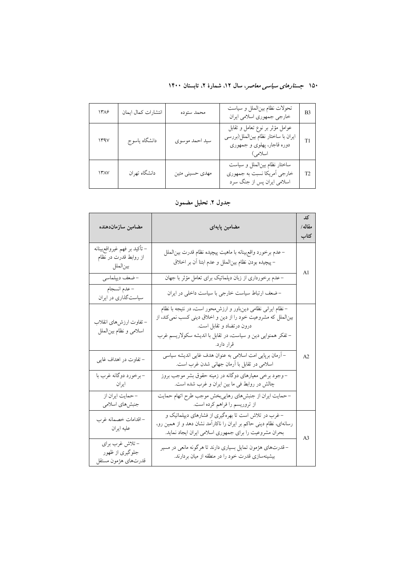| ۱۳۸۶ | انتشارات كمال ايمان | محمد ستوده      | تحولات نظام بين الملل و سياست<br>خارجي جمهوري اسلامي ايران                                                      | B <sub>3</sub> |
|------|---------------------|-----------------|-----------------------------------------------------------------------------------------------------------------|----------------|
| 144V | دانشگاه ياسوج       | سيد احمد موسوى  | عوامل مؤثر بر نوع تعامل و تقابل<br>ايران با ساختار نظام بينالملل(بررسي<br>دوره قاجار، پهلوي و جمهوري<br>اسلامی) | T1             |
| ۱۳۸۷ | دانشگاه تهران       | مهدی حسینی متین | ساختار نظام بين الملل و سياست<br>خارجي اَمريكا نسبت به جمهوري<br>اسلامی ایران پس از جنگ سرد                     | T <sub>2</sub> |

## جدول ٢. تحليل مضمون

| مضامين سازماندهنده                                                 | مضامین پایهای                                                                                                                                                                                                                            | کد<br>مقاله/<br>كتاب |
|--------------------------------------------------------------------|------------------------------------------------------------------------------------------------------------------------------------------------------------------------------------------------------------------------------------------|----------------------|
| – تأكيد بر فهم غيرواقع بينانه<br>از روابط قدرت در نظام<br>بينالملل | –عدم برخورد واقع بينانه با ماهيت پيچيده نظام قدرت بين لملل<br>–پیچیده بودن نظام بینالملل و عدم ابتنا آن بر اخلاق                                                                                                                         | A <sub>1</sub>       |
| -ضعف ديپلماسي                                                      | – عدم برخورداری از زبان دپلماتیک برای تعامل مؤثر با جهان                                                                                                                                                                                 |                      |
| - عدم انسجام<br>سیاستگذاری در ایران                                | – ضعف ارتباط سیاست خارجی با سیاست داخلی در ایران                                                                                                                                                                                         |                      |
| – تفاوت ارزشهای انقلاب<br>اسلامي و نظام بين لملل                   | –نظام ایرانی نظامی دینِباور و ارزش،حور است، در نتیجه با نظام<br>بینالملل که مشروعیت خود را از دین و اخلاق دینی کسب نمی کند، از<br>درون درتضاد و تقابل است.<br>– تفکر همنوایی دین و سیاست، در تقابل با اندیشه سکولاریسم غرب<br>قرار دارد. |                      |
| – تفاوت در اهداف غایی                                              | – آرمان برپایی امت اسلامی به عنوان هدف غایی اندیشه سیاسی<br>اسلامی در تقابل با أرمان جهانی شدن غرب است.                                                                                                                                  | A <sub>2</sub>       |
| –برخورد دوگانه غرب با<br>ايران                                     | – وجود برخی معیارهای دوگانه در زمینه حقوق بشر موجب بروز<br>چالش در روابط فی ما بین ایران و غرب شده است.                                                                                                                                  |                      |
| - حمايت ايران از<br>جنبش هاي اسلامي                                | – حمایت ایران از جنبشهای رهاییبخش موجب طرح اتهام حمایت<br>از تروریسم را فراهم کرده است.                                                                                                                                                  |                      |
| – اقدامات خصمانه غرب<br>عليه ايران                                 | – غرب در تلاش است تا بهرهگیری از فشارهای دیپلماتیک و<br>رسانهای، نظام دینی حاکم بر ایران را ناکارآمد نشان دهد و از همین رو،<br>بحران مشروعیت را برای جمهوری اسلامی ایران ایجاد نماید.                                                    | A <sub>3</sub>       |
| - تلاش غرب براي<br>جلوگیری از ظهور<br>قدرتهاي هژمون مستقل          | –قدرتهای هژمون تمایل بسیاری دارند تا هرگونه مانعی در مسیر<br>بیشینهسازی قدرت خود را در منطقه از میان بردارند.                                                                                                                            |                      |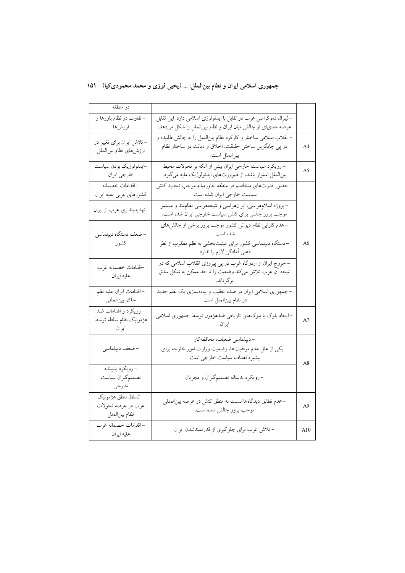# جمهوری اسلامی ایران و نظام بینالملل: … (یحیی فوزی و محمد محمودی کیا) ۱۵۱

| در منطقه                                                   |                                                                                                                                                               |     |
|------------------------------------------------------------|---------------------------------------------------------------------------------------------------------------------------------------------------------------|-----|
| – تفاوت در نظام باورها و<br>ارزشها                         | –لیبرال دموکراسی غرب در تقابل با ایدئولوژی اسلامی دارد. این تقابل<br>عرصه جدیای از چالش میان ایران و نظام بینالملل را شکل میدهد.                              |     |
| – تلاش ایران برای تغییر در<br>ارزش هاي نظام بين الملل      | –انقلاب اسلامی ساختار و کارکرد نظام بین لملل را به چالش طلبیده و<br>در پی جایگزین ساختن حقیقت، اخلاق و دیانت در ساختار نظام<br>بينالملل است.                  | A4  |
| ⊣يدئولوژيک بودن سياست<br>خارجي ايران                       | – رویکرد سیاست خارجی ایران بیش از اّنکه بر تحولات محیط<br>بینالملل استوار باشد، از ضرورتهای ایدئولوژیک مایه میگیرد.                                           | A5  |
| - اقدامات خصمانه<br>كشورهاي غربي عليه ايران                | – حضور قدرتهای متخاصم در منطقه خاورمیانه موجب تحدید کنش<br>سیاست خارجی ایران شده است.                                                                         |     |
| -تهدیدپنداری غرب از ایران                                  | – پروژه اسلامهراسی، ایرانهراسی و شیعههراسی نظامهند و مستمر<br>موجب بروز چالش برای کنش سیاست خارجی ایران شده است.                                              |     |
| -ضعف دستگاه ديپلماسي<br>كشور                               | – عدم کارایی نظام دیوانی کشور موجب بروز برخی از چالشهای<br>شده است.<br>–دستگاه دیپلماسی کشور برای عینیتبخشی به نظم مطلوب از نظر<br>ذهني آمادگي لازم را ندارد. | A6  |
| اقدامات خصمانه غرب<br>عليه ايران                           | –خروج ایران از اردوگاه غرب در پی پیروزی انقلاب اسلامی که در<br>نتيجه اّن غرب تلاش مىكند وضعيت را تا حد ممكن به شكل سابق<br>برگر داند.                         |     |
| - اقدامات ايران عليه نظم<br>حاكم بينالمللي                 | –جمهوری اسلامی ایران در صدد تعقیب و پیادهسازی یک نظم جدید<br>در نظام بین لملل است.                                                                            |     |
| – رویکرد و اقدامات ضد<br>هژمونیک نظام سلطه توسط<br>ايران   | –ایجاد بلوک یا بلوکهای تاریخی ضدهژمون توسط جمهوری اسلامی<br>ایر ان                                                                                            | A7  |
| -ضعف ديپلماسي                                              | -ديپلماسي ضعيف، محافظهكار<br>– یکی از علل عدم موفقیتها، وضعیت وزارت امور خارجه برای<br>پیشبرد اهداف سیاست خارجی است.                                          | A8  |
| - رويكرد بدبينانه<br>تصميم گيران سياست<br>خارجي            | –رویکرد بدبینانه تصمیمگیران و مجریان                                                                                                                          |     |
| – تسلط منطق هژمونیک<br>غرب در عرصه تحولات<br>نظام بينالملل | – عدم تطابق دیدگاهها نسبت به منطق کنش در عرصه بینالمللی<br>موجب بروز چالش شده است.                                                                            | A9  |
| – اقدامات خصمانه غرب<br>عليه ايران                         | - تلاش غرب براي جلوگيري از قدرتمندشدن ايران                                                                                                                   | A10 |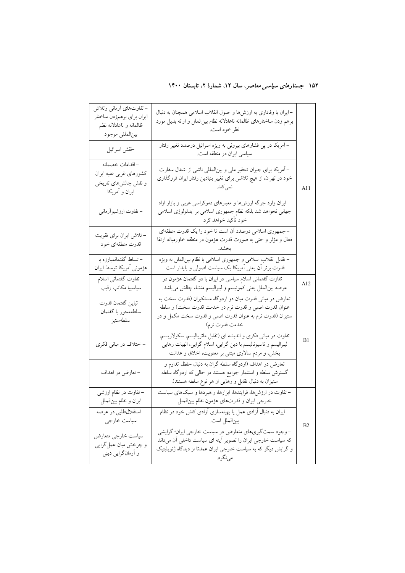| – تفاوتهای أرمانی وتلاش<br>ايران براي برهمزدن ساختار<br>ظالمانه و ناعادلانه نظم<br>بينالمللي موجود | –ایران با وفاداری به ارزشها و اصول انقلاب اسلامی همچنان به دنبال<br>برهم زدن ساختارهای ظالمانه ناعادلانه نظام بینالملل و ارائه بدیل مورد<br>نظر خود است.                                          |     |
|----------------------------------------------------------------------------------------------------|---------------------------------------------------------------------------------------------------------------------------------------------------------------------------------------------------|-----|
| خقش اسرائيل                                                                                        | – اَمریکا در پی فشارهای بیرونی به ویژه اسرائیل درصدد تغییر رفتار<br>سیاسی ایران در منطقه است.                                                                                                     |     |
| – اقدامات خصمانه<br>كشورهاي غربي عليه ايران<br>و نقش چالشهای تاریخی<br>ايران و أمريكا              | – اَمریکا برای جبران تحقیر ملی و بین لمللی ناشی از اشغال سفارت<br>خود در تهران، از هیچ تلاشی برای تغییر بنیادین رفتار ایران فروگذاری<br>نمي كند.                                                  | A11 |
| – تفاوت ارزشیوآرمانی                                                                               | –ایران وارد جرگه ارزشها و معیارهای دموکراسی غربی و بازار ازاد<br>جهانی نخواهد شد بلکه نظام جمهوری اسلامی بر ایدئولوژی اسلامی<br>خود تأكيد خواهد كرد.                                              |     |
| – تلاش ایران برای تقویت<br>قدرت منطقهای خود                                                        | – جمهوری اسلامی درصدد أن است تا خود را یک قدرت منطقهای<br>فعال و مؤثر و حتى به صورت قدرت هژمون در منطقه خاورميانه ارتقا                                                                           |     |
| – تسلط گفتمانمبارزه با<br>هژمونی أمريكا توسط ايران                                                 | – تقابل انقلاب اسلامی و جمهوری اسلامی با نظام بین لملل به ویژه<br>قدرت برتر اّن یعنی اّمریکا یک سیاست اصولی و پایدار است.                                                                         |     |
| – تفاوت گفتمانی اسلام<br>سياسيبا مكاتب رقيب                                                        | – تفاوت گفتمانی اسلام سیاسی در ایران با دو گفتمان هژمون در<br>عرصه بین لملل یعنی کمونیسم و لیبرالیسم منشاء چالش میباشد.                                                                           | A12 |
| – تباين گفتمان قدرت<br>سلطهمحور با گفتمان<br>سلطهستيز                                              | تعارض در مبانی قدرت میان دو اردوگاه مستکبران (قدرت سخت به<br>عنوان قدرت اصلی و قدرت نرم در خدمت قدرت سخت) و سلطه<br>ستیزان (قدرت نرم به عنوان قدرت اصلی و قدرت سخت مکمل و در<br>خدمت قدرت نرم)    |     |
| -اختلاف در مبانی فکری                                                                              | تفاوت در مبانی فکری و اندیشه ای (تقابل ماتریالیسم، سکولاریسم،<br>لیبرالیسم و ناسیونالیسم با دین گرایی، اسلام گرایی، الهیات رهایی<br>بخش، و مردم سالاری مبتنی بر معنویت، اخلاق و عدالت             | B1  |
| - تعارض در اهداف                                                                                   | تعارض در اهداف (اردوگاه سلطه گران به دنبال حفظ، تداوم و<br>گسترش سلطه و استثمار جوامع هستند در حالی که اردوگاه سلطه<br>ستیزان به دنبال تقابل و رهایی از هر نوع سلطه هستند).                       |     |
| – تفاوت در نظام ارزشبی<br>ايران و نظام بينالملل                                                    | – تفاوت در ارزشها، فرایندها، ابزارها، راهبردها و سبکهای سیاست<br>خارجي ايران و قدرتهاي هژمون نظام بينالملل                                                                                        |     |
| -استقلالطلبي در عرصه<br>سياست خارجي                                                                | –ایران به دنبال آزادی عمل یا بهینهسازی آزادی کنش خود در نظام<br>بينالملل است.                                                                                                                     | B2  |
| – سیاست خارجی متعارض<br>و چرخش میان عمل گرایی<br>و آرمانگرایی دینی                                 | –وجود سمتگیریهای متعارض در سیاست خارجی ایران؛ گرایشی<br>که سیاست خارجی ایران را تصویر أینه ای سیاست داخلی أن میداند<br>و گرایش دیگر که به سیاست خارجی ایران عمدتا از دیدگاه ژئوپلیتیک<br>مي نگرد. |     |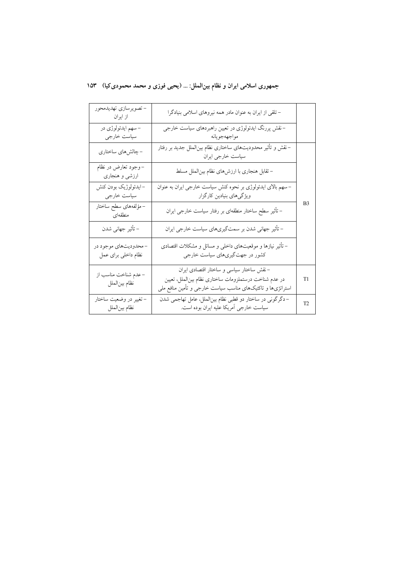|  | جمهوری اسلامی ایران و نظام بینالملل: … (یحیی فوزی و محمد محمودی کیا)   ۱۵۳ |  |  |  |  |
|--|----------------------------------------------------------------------------|--|--|--|--|
|--|----------------------------------------------------------------------------|--|--|--|--|

| - تصويرسازي تهديدمحور<br>از ایران           | – تلقی از ایران به عنوان مادر همه نیروهای اسلامی بنیادگرا                                                                                                       |                |
|---------------------------------------------|-----------------------------------------------------------------------------------------------------------------------------------------------------------------|----------------|
| – سهم ايدئولوژي در<br>سیاست خارجی           | –نقش پررنگ ایدئولوژی در تعیین راهبردهای سیاست خارجی<br>مواجههجويانه                                                                                             |                |
| - چالش،اي ساختاري                           | –نقش و تأثیر محدودیتهای ساختاری نظام بین لملل جدید بر رفتار<br>سیاست خارجی ایران                                                                                |                |
| –وجود تعارض در نظام<br>ارزشی و هنجاری       | – تقابل هنجاري با ارزش،اي نظام بينالملل مسلط                                                                                                                    |                |
| -ايدئولوژيک بودن كنش<br>سیاست خارجی         | – سهم بالای ایدئولوژی بر نحوه کنش سیاست خارجی ایران به عنوان<br>ویژگیهای بنیادین کارگزار                                                                        |                |
| – مؤلفههای سطح ساختار<br>منطقهای            | – تأثیر سطح ساختار منطقهای بر رفتار سیاست خارجی ایران                                                                                                           | B <sub>3</sub> |
| – تأثير جهاني شدن                           | – تأثیر جهانی شدن بر سمتگیریهای سیاست خارجی ایران                                                                                                               |                |
| -محدوديتهاي موجود در<br>نظام داخلی برای عمل | – تأثیر نیازها و موقعیتهای داخلی و مسائل و مشکلات اقتصادی<br>کشور در جهتگیریهای سیاست خارجی                                                                     |                |
| – عدم شناخت مناسب از<br>نظام بينالملل       | –نقش ساختار سیاسی و ساختار اقتصادی ایران<br>در عدم شناخت درستملزومات ساختارى نظام بين لملل، تعيين<br>استراتژیها و تاکتیکهای مناسب سیاست خارجی و تأمین منافع ملی | T1             |
| – تغییر در وضعیت ساختار<br>نظام بين الملل   | –دگرگونی در ساختار دو قطبی نظام بین لملل، عامل تهاجمی شدن<br>سیاست خارجی اَمریکا علیه ایران بوده است.                                                           | T <sub>2</sub> |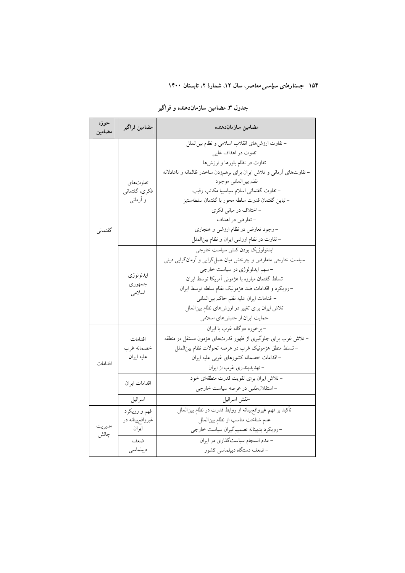| حوزه<br>مضامين | مضامين فراگير                 | مضامين سازماندهنده                                                     |
|----------------|-------------------------------|------------------------------------------------------------------------|
|                |                               | – تفاوت ارزشهای انقلاب اسلامی و نظام بینالملل<br>– تفاوت در اهداف غایی |
|                |                               | – تفاوت در نظام باورها و ارزشها                                        |
|                |                               | – تفاوتهای آرمانی و تلاش ایران برای برهمزدن ساختار ظالمانه و ناعادلانه |
|                | تفاوتهاى                      | نظم بينالمللي موجود                                                    |
|                | فكرى، گفتماني                 | - تفاوت گفتمانی اسلام سیاسیبا مکاتب رقیب                               |
|                | و آرمانی                      | – تباين گفتمان قدرت سلطه محور با گفتمان سلطهستيز                       |
|                |                               | - اختلاف در مبانی فکری                                                 |
|                |                               | – تعارض در اهداف                                                       |
| گفتماني        |                               | –وجود تعارض در نظام ارزشی و هنجاری                                     |
|                |                               | – تفاوت در نظام ارزشی ایران و نظام بین لملل                            |
|                |                               | –ايدئولوژيک بودن کنش سياست خارجي                                       |
|                |                               | – سیاست خارجی متعارض و چرخش میان عمل گرایی و آرمانگرایی دینی           |
|                | ايدئولوژي<br>جمهوري<br>اسلامى | - سهم ایدئولوژی در سیاست خارجی                                         |
|                |                               | – تسلط گفتمان مبارزه با هژمونی آمریکا توسط ایران                       |
|                |                               | -رويكرد و اقدامات ضد هژمونيك نظام سلطه توسط ايران                      |
|                |                               | - اقدامات ايران عليه نظم حاكم بينالمللي                                |
|                |                               | – تلاش ایران برای تغییر در ارزشهای نظام بین لملل                       |
|                |                               | - حمایت ایران از جنبشهای اسلامی                                        |
|                |                               | -بوخورد دوگانه غرب با ايران                                            |
|                | اقدامات                       | – تلاش غرب برای جلوگیری از ظهور قدرتهای هژمون مستقل در منطقه           |
|                | خصمانه غرب                    | – تسلط منطق هژمونیک غرب در عرصه تحولات نظام بینالملل                   |
| اقدامات        | عليه ايران                    | - اقدامات خصمانه كشورهاى غربى عليه ايران                               |
|                |                               | - تهديدپنداري غرب از ايران                                             |
|                | اقدامات ايران                 | – تلاش ایران برای تقویت قدرت منطقهای خود                               |
|                |                               | -استقلال طلبی در عرصه سیاست خارجی                                      |
|                | اسرائيل                       | خقش اسرائيل                                                            |
| مديريت         | فهم و رويكرد                  | – تأکید بر فهم غیرواقع٬بینانه از روابط قدرت در نظام بینالملل           |
|                | غیرواقعبینانه در              | - عدم شناخت مناسب از نظام بينالملل                                     |
| چالش           | ايران                         | - رويكرد بدبينانه تصميم گيران سياست خارجي                              |
|                | ضعف                           | - عدم انسجام سیاستگذاری در ایران                                       |
|                | ديپلماسى                      | –ضعف دستگاه دیپلماسی کشور                                              |

جدول ۳. مضامین سازماندهنده و فراگیر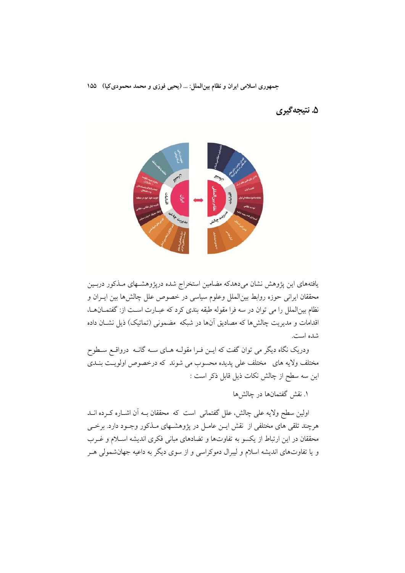جمهوری اسلامی ایران و نظام بین الملل: ... (یحیی فوزی و محمد محمودی کیا) ۱۵۵

۵. نتيجه گيري



یافتههای این پژوهش نشان میدهدکه مضامین استخراج شده درپژوهشـهای مـذکور دربــین محققان ایرانی حوزه روابط بین|لملل وعلوم سیاسی در خصوص علل چالش۵ا بین ایــران و نظام بین|لملل را می توان در سه فرا مقوله طبقه بندی کرد که عبـارت اسـت از: گفتمــانهــا، اقدامات و مدیریت چالشها که مصادیق آنها در شبکه ًمضمونی (تماتیک) ذیل نشــان داده شده است.

ودریک نگاه دیگر می توان گفت که ایــن فــرا مقولــه هــای ســه گانــه درواقــع ســطوح مختلف ولايه هاي مختلف على پديده محسوب مي شوند كه درخصوص اولويت بنـدي این سه سطح از چالش نکات ذیل قابل ذکر است :

۱. نقش گفتمانها در چالشها

اولین سطح ولایه علی چالش، علل گفتمانی است که محققان بــه اَن اشــاره کــرده انــد هرچند تلقی های مختلفی از نقش ایــن عامــل در پژوهشــهای مــذکور وجــود دارد. برخــی محققان در این ارتباط از یکسو به تفاوتها و تضادهای مبانی فکری اندیشه اسلام و غـرب و یا تفاوتهای اندیشه اسلام و لیبرال دموکراسی و از سوی دیگر به داعیه جهانشمولی هـر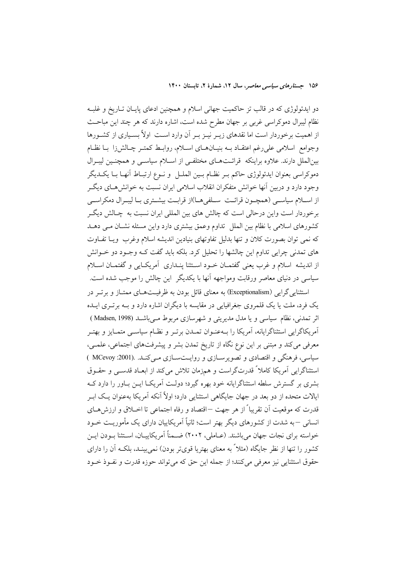دو ایدئولوژی که در قالب تز حاکمیت جهانی اسلام و همچنین ادعای پایـان تـاریخ و غلبـه نظام لیبرال دموکراسی غربی بر جهان مطرح شده است، اشاره دارند که هر چند این مباحـث از اهمیت برخوردار است اما نقدهای زیـر نیـز بـر آن وارد اسـت اولاً بسـیاری از کشـورها وجوامع اسلامی علی رغم اعتقـاد بــه بنیــانهــای اســلام، روابــط کمتــر چــالش(ا بــا نظــام بینالملل دارند. علاوه براینکه قرائتهای مختلفی از اسلام سیاسی و همچنین لیبرال دموكراسي بعنوان ايدئولوژي حاكم بـر نظـام بـين الملـل و نـوع ارتبـاط أنهـا بـا يكــديگر وجود دارد و دربین آنها خوانش متفکران انقلاب اسلامی ایران نسبت به خوانش هـای دیگـر از اسـلام سياسـي (همچـون قرائـت ِ سـلفي١عــا)از قرابـت بيشـتري بــا ليبــرال دمكراســي برخوردار است واین درحالی است که چالش های بین المللی ایران نسبت به چـالش دیگـر کشورهای اسلامی با نظام بین الملل تداوم وعمق بیشتری دارد واین مسئله نشـان مـی دهـد که نمی توان بصورت کلان و تنها بدلیل تفاوتهای بنیادین اندیشه اسلام وغرب ویـا تفـاوت های تمدنی چرایی تداوم این چالشها را تحلیل کرد. بلکه باید گفت کـه وجـود دو خــوانش از اندیشه اسلام و غرب یعنی گفتمـان خـود اسـتثنا پنـداری آمریکـایی و گفتمـان اسـلام سیاسی در دنیای معاصر ورقابت ومواجهه آنها با یکدیگر ًاین چالش را موجب شده است. استثنایی گرایی (Exceptionalism) به معنای قائل بودن به ظرفیـتهـای ممتـاز و برتـر در

یک فرد، ملت یا یک قلمروی جغرافیایی در مقایسه با دیگران اشاره دارد و بـه برتـری ایـده اثر تمدني، نظام سياسي و يا مدل مديريتي و شهرسازي مربوط مـيباشــد (Madsen, 1998 ) آمریکاگرایی استثناگرایانه، آمریکا را بـهعنـوان تمــدن برتــر و نظــام سیاســی متمــایز و بهتــر معرفی میکند و مبتنی بر این نوع نگاه از تاریخ تمدن بشر و پیشرفتهای اجتماعی، علمـی، سیاسی، فرهنگی و اقتصادی و تصویرسازی و روایتسازی مےکند. (MCevoy :2001 ) استثناگرایی آمریکا کاملاً قدرتگراست و همزمان تلاش میکند از ابعـاد قدسـی و حقـوق بشری بر گسترش سلطه استثناگرایانه خود بهره گیرد؛ دولت آمریکـا ایــن بــاور را دارد کــه ایالات متحده از دو بعد در جهان جایگاهی استثنایی دارد؛ اولاً آنکه آمریکا بهعنوان یـک ابـر قدرت که موقعیت اَن تقریباً از هر جهت —اقتصاد و رفاه اجتماعی تا اخــلاق و ارزش هــای انسانی –به شدت از کشورهای دیگر بهتر است؛ ثانیاً اَمریکاییان دارای یک مأموریـت خــود خواسته برای نجات جهان می باشند. (عــاملی، ۲۰۰۲) ضــمناً آمریکاییــان، اســتثنا بــودن ایــن کشور را تنها از نظر جایگاه (مثلاً به معنای بهتریا قویتر بودن) نمی بینـد. بلکـه آن را دارای حقوق استثنايي نيز معرفي مي كنند؛ از جمله اين حق كه مي تواند حوزه قدرت و نفـوذ خـود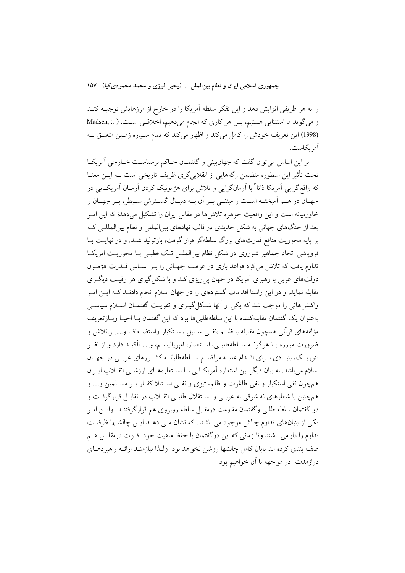جمهوري اسلامي ايران و نظام بين الملل: ... (يحيى فوزي و محمد محمودي كيا) ١٥٧

را به هر طریقی افزایش دهد و این تفکر سلطه آمریکا را در خارج از مرزهایش توجیــه کنــد و می گوید ما استثنایی هستیم، پس هر کاری که انجام می دهیم، اخلاقی است. ( .: ,Madsen (1998) این تعریف خودش را کامل میکند و اظهار میکند که تمام سیاره زمین متعلق بـه آم یکاست.

بر این اساس می توان گفت که جهان بینی و گفتمـان حـاکم برسیاسـت خـارجی آمریکـا تحت تأثیر این اسطوره متضمن رگههایی از انقلابی گری ظریف تاریخی است بـه ایــن معنــا که واقع گرایی اَمریکا ذاتا ً با اَرمانگرایی و تلاش برای هژمونیک کردن اَرمـان اَمریکـایی در جهـان در هـم آميختــه اســت و مبتنــي بــر أن بــه دنبــال گســترش ســيطره بــر جهــان و خاورمیانه است و این واقعیت جوهره تلاش۵ها در مقابل ایران را تشکیل میدهد؛ که این امـر یعد از جنگهای جهانی به شکل جدیدی در قالب نهادهای بین|لمللی و نظام بین|لمللے کـه بر پایه محوریت منافع قدرتهای بزرگ سلطهگر قرار گرفت، بازتولید شـد. و در نهایــت بــا فرویاشی اتحاد جماهیر شوروی در شکل نظام بین(لملــل تــک قطبــی بــا محوریــت امریکــا تداوم یافت که تلاش میکرد قواعد بازی در عرصـه جهـانی را بـر اسـاس قــدرت هژمــون دولتهای غربی با رهبری آمریکا در جهان یی ریزی کند و با شکل گیری هر رقیب دیگری مقابله نماید. و در این راستا اقدامات گستردمای را در جهان اسلام انجام دادنــد کــه ایــن امــر واکنشهائی را موجب شد که یکی از آنها شکل گیـری و تقویـت گفتمـان اسـلام سیاسـی بهعنوان يک گفتمان مقابلهکننده با اين سلطهطلبي ها بود که اين گفتمان بــا احيــا ويــازتعريف مؤلفههاى قرأنى همچون مقابله با ظلــم ،نفــى ســبيل ،اســتكبار واستضــعاف و….بــر.تلاش و ضرورت مبارزه بــا هرگونــه ســلطهطلبــي، اســتعمار، اميرياليســم، و … تأكيــد دارد و از نظــر تئوریـک، بنیـادی بــرای اقــدام علیــه مواضــع ســلطهطلبانــه کشــورهای غربــی در جهــان اسلام میباشد. به بیان دیگر این استعاره آمریک ایی بـا اسـتعارههـای ارزشـی انقـلاب ایـران همچون نفی استکبار و نفی طاغوت و ظلمستیزی و نفـی اسـتیلا کفـار بـر مسـلمین و.... و همچنین با شعارهای نه شرقی نه غربـی و اسـتقلال طلبـی انقــلاب در تقابـل قرارگرفـت و دو گفتمان سلطه طلبی وگفتمان مقاومت درمقابل سلطه روبروی هم قرارگرفتنــد وایــن امــر یکی از بنیانهای تداوم چالش موجود می باشد . که نشان مـی دهــد ایــن چالشــها ظرفیــت تداوم را دارامی باشند وتا زمانی که این دوگفتمان با حفظ ماهیت خود قـوت درمقابـــل هــم صف بندی کرده اند پایان کامل چالشها روشن نخواهد بود ولـذا نیازمنـد ارائــه راهبردهــای درازمدت ً در مواجهه با آن خواهیم بود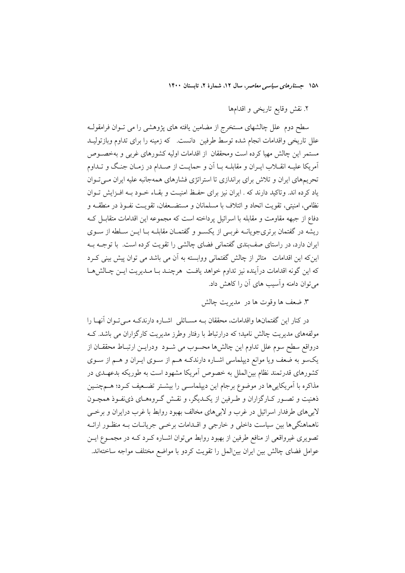٢. نقش وقايع تاريخي و اقدامها

سطح دوم علل چالشهای مستخرج از مضامین یافته های پژوهشی را می تــوان فرامقولــه علل تاریخی واقدامات انجام شده توسط طرفین دانست. که زمینه را برای تداوم وبازتولیـد مستمر این چالش مهیا کرده است ومحققان از اقدامات اولیه کشورهای غربی و بهخصوص آمریکا علیـه انقــلاب ایــران و مقابلــه بــا آن و حمایــت از صــدام در زمــان جنـگ و تــداوم تحریمهای ایران و تلاش برای براندازی تا استراتژی فشارهای همهجانبه علیه ایران مے توان یاد کرده اند. وتاکید دارند که . ایران نیز برای حفـظ امنیـت و بقـاء خـود بـه افـزایش تـوان نظامی، امنیتی، تقویت اتحاد و ائتلاف با مسلمانان و مستضـعفان، تقویـت نفـوذ در منطقـه و دفاع از جبهه مقاومت و مقابله با اسرائیل پرداخته است که مجموعه این اقدامات متقابــل کــه ریشه در گفتمان برتریجویانــه غربــی از یکســو و گفتمــان مقابلــه بــا ایــن ســلطه از ســوی ایران دارد، در راستای صف بندی گفتمانی فضای چالشی را تقویت کرده است. با توجـه بـه اینکه این اقدامات متاثر از چالش گفتمانی ووابسته به آن می باشد می توان پیش بینی کـرد كه اين گونه اقدامات درآينده نيز تداوم خواهد يافت هرچنـد بـا مـديريت ايــن چـالش&ـا می توان دامنه وآسیب های آن را کاهش داد.

۳. ضعف ها وقوت ها در ً مديريت چالش

در کنار این گفتمانها واقدامات، محققان بــه مســائلی اشــاره دارندکــه مــیتــوان آنهــا را مولفههای مدیریت چالش نامید؛ که درارتباط با رفتار وطرز مدیریت کارگزاران می باشد. کـه درواقع سطح سوم علل تداوم این چالشها محسوب می شـود ودرایــن ارتبــاط محققــان از یکسو به ضعف ویا موانع دیپلماسی اشـاره دارندکـه هـم از سـوی ایـران و هـم از سـوی کشورهای قدرتمند نظام بین|لملل به خصوص آمریکا مشهود است به طوریکه بدعهـدی در مذاکره با آمریکاییها در موضوع برجام این دیپلماسـی را بیشـتر تضـعیف کـرد؛ هـمچنـین ذهنیت و تصـور کـارگزاران و طـرفین از یکـدیگر، و نقـش گـروههـای ذی:فـوذ همچـون لابیهای طرفدار اسرائیل در غرب و لابیهای مخالف بهبود روابط با غرب درایران و برخبی ناهماهنگیها بین سیاست داخلی و خارجی و اقــدامات برخــی جریانــات بــه منظــور ارائــه تصویری غیرواقعی از منافع طرفین از بهبود روابط میٍتوان اشـاره کـرد کـه در مجمـوع ایــن عوامل فضای چالش بین ایران بین|لمل را تقویت کردو با مواضع مختلف مواجه ساختهاند.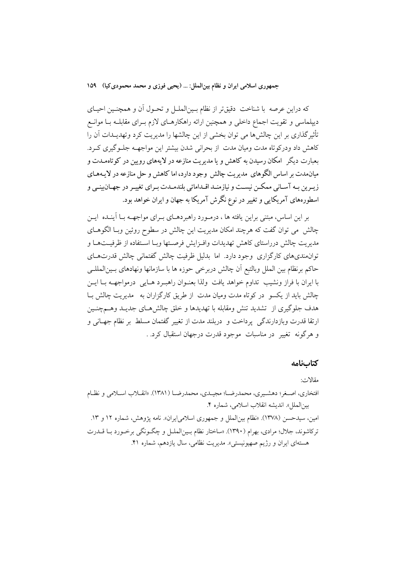جمهوري اسلامي ايران و نظام بين الملل: … (يحيى فوزي و محمد محمودي كيا) ١٥٩

که دراین عرصه با شناخت دقیقتر از نظام بـینالملـل و تحـول آن و همچنـین احیـای دیپلماسی و تقویت اجماع داخلی و همچنین ارائه راهکارهـای لازم بـرای مقابلـه بـا موانـع تأثیر گذاری بر این چالشها می توان بخشی از این چالشها را مدیریت کرد وتهدیــدات آن را كاهش داد ودركوتاه مدت وميان مدت از بحراني شدن بيشتر اين مواجهـه جلـوگيرى كـرد. بعبارت دیگر ِ امکان رسیدن به کاهش و یا مدیریت منازعه در لایههای رویین در کوتاهمـدت و میان.دت بر اساس الگوهای مدیریت چالش وجود دارد، اما کاهش و حل منازعه در لایـههـای زیـرین بـه آسـانی ممکـن نیسـت و نیازمنـد اقـداماتی بلندمـدت بـرای تغییـر در جهـانبینـی و اسطورههای آمریکایی و تغییر در نوع نگرش آمریکا به جهان و ایران خواهد بود.

بر این اساس، مبتنی براین یافته ها ، درمـورد راهبردهـای بـرای مواجهــه بــا آینــده ایــن چالش می توان گفت که هرچند امکان مدیریت این چالش در سطوح روئین وبـا الگوهــای مديريت چالش درراستاي كاهش تهديدات وافـزايش فرصـتها وبــا اسـتفاده از ظرفيــتهــا و توانهندیهای کارگزاری وجود دارد. اما بدلیل ظرفیت چالش گفتمانی چالش قدرتهـای حاكم برنظام بين الملل وبالتبع أن چالش دربرخي حوزه ها با سازمانها ونهادهاى بـينالمللــي با ايران با فراز ونشيب تداوم خواهد يافت ولذا بعنـوان راهبـرد هـايي ٍ درمواجهــه بــا ايــن چالش باید از یکسو ً در کو تاه مدت ومیان مدت ً از طریق کارگزاران به ً مدیریت چالش بـا هدف جلوگیری از تشدید تنش ومقابله با تهدیدها و خلق چالش هـای جدیـد وهــمچنـین ارتقا قدرت وبازدارندگی پرداخت و دربلند مدت از تغییر گفتمان مسلط بر نظام جهـانی و و هرگونه تغییر ً در مناسبات ً موجود قدرت درجهان استقبال کرد. .

### كتابنامه

مقالات:

افتخاري، اصـغر؛ دهشـيري، محمدرضـا؛ مجيـدي، محمدرضـا (١٣٨١). «انقــلاب اســلامي و نظـام بين الملل». انديشه انقلاب اسلامي، شماره ۴. امین، سیدحسن (۱۳۷۸). «نظام بین|لملل و جمهوری اسلامی|یران». نامه یژوهش، شماره ۱۲ و ۱۳. تركاشوند، جلال؛ مرادي، بهرام (١٣٩٠). «ساختار نظام بـين|لملـل و چگـونگي برخـورد بــا قــدرت هستهای ایران و رژیم صهیونیستی». مدیریت نظامی، سال یازدهم، شماره ۴۱.